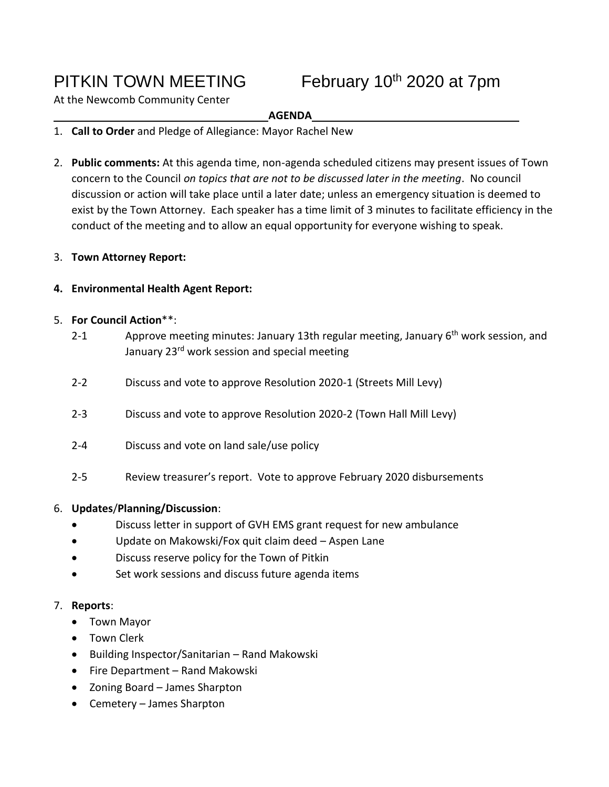# PITKIN TOWN MEETING

February  $10^{th}$  2020 at 7pm

At the Newcomb Community Center

## **AGENDA**

- 1. **Call to Order** and Pledge of Allegiance: Mayor Rachel New
- 2. **Public comments:** At this agenda time, non-agenda scheduled citizens may present issues of Town concern to the Council *on topics that are not to be discussed later in the meeting*. No council discussion or action will take place until a later date; unless an emergency situation is deemed to exist by the Town Attorney. Each speaker has a time limit of 3 minutes to facilitate efficiency in the conduct of the meeting and to allow an equal opportunity for everyone wishing to speak.

## 3. **Town Attorney Report:**

## **4. Environmental Health Agent Report:**

## 5. **For Council Action**\*\*:

- 2-1 Approve meeting minutes: January 13th regular meeting, January  $6<sup>th</sup>$  work session, and January 23<sup>rd</sup> work session and special meeting
- 2-2 Discuss and vote to approve Resolution 2020-1 (Streets Mill Levy)
- 2-3 Discuss and vote to approve Resolution 2020-2 (Town Hall Mill Levy)
- 2-4 Discuss and vote on land sale/use policy
- 2-5 Review treasurer's report. Vote to approve February 2020 disbursements

#### 6. **Updates**/**Planning/Discussion**:

- Discuss letter in support of GVH EMS grant request for new ambulance
- Update on Makowski/Fox quit claim deed Aspen Lane
- Discuss reserve policy for the Town of Pitkin
- Set work sessions and discuss future agenda items

#### 7. **Reports**:

- Town Mayor
- Town Clerk
- Building Inspector/Sanitarian Rand Makowski
- Fire Department Rand Makowski
- Zoning Board James Sharpton
- Cemetery James Sharpton